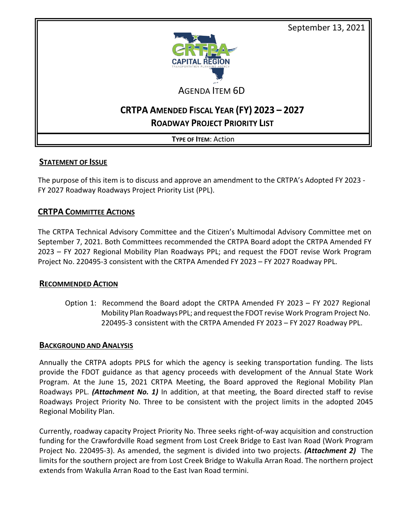

# AGENDA ITEM 6D

# CRTPA AMENDED FISCAL YEAR (FY) 2023 - 2027 **ROADWAY PROJECT PRIORITY LIST**

**TYPE OF ITEM**: Action

## **STATEMENT OF ISSUE**

The purpose of this item is to discuss and approve an amendment to the CRTPA's Adopted FY 2023 - FY 2027 Roadway Roadways Project Priority List (PPL).

## **CRTPA COMMITTEE ACTIONS**

The CRTPA Technical Advisory Committee and the Citizen's Multimodal Advisory Committee met on September 7, 2021. Both Committees recommended the CRTPA Board adopt the CRTPA Amended FY 2023 – FY 2027 Regional Mobility Plan Roadways PPL; and request the FDOT revise Work Program Project No. 220495-3 consistent with the CRTPA Amended FY 2023 – FY 2027 Roadway PPL.

### **RECOMMENDED ACTION**

Option 1: Recommend the Board adopt the CRTPA Amended FY 2023 – FY 2027 Regional Mobility Plan RoadwaysPPL; and requestthe FDOT revise Work Program Project No. 220495-3 consistent with the CRTPA Amended FY 2023 – FY 2027 Roadway PPL.

### **BACKGROUND AND ANALYSIS**

Annually the CRTPA adopts PPLS for which the agency is seeking transportation funding. The lists provide the FDOT guidance as that agency proceeds with development of the Annual State Work Program. At the June 15, 2021 CRTPA Meeting, the Board approved the Regional Mobility Plan Roadways PPL. *(Attachment No. 1)* In addition, at that meeting, the Board directed staff to revise Roadways Project Priority No. Three to be consistent with the project limits in the adopted 2045 Regional Mobility Plan.

Currently, roadway capacity Project Priority No. Three seeks right-of-way acquisition and construction funding for the Crawfordville Road segment from Lost Creek Bridge to East Ivan Road (Work Program Project No. 220495-3). As amended, the segment is divided into two projects. *(Attachment 2)* The limits for the southern project are from Lost Creek Bridge to Wakulla Arran Road. The northern project extends from Wakulla Arran Road to the East Ivan Road termini.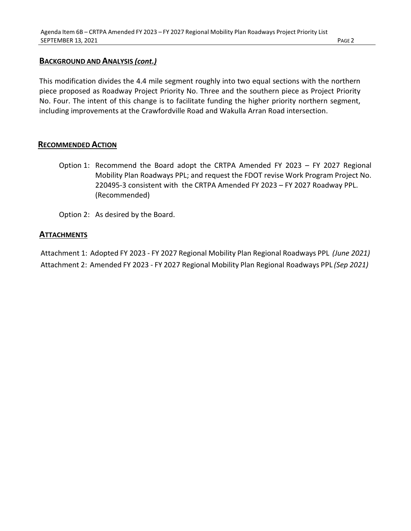#### **BACKGROUND AND ANALYSIS** *(cont.)*

This modification divides the 4.4 mile segment roughly into two equal sections with the northern piece proposed as Roadway Project Priority No. Three and the southern piece as Project Priority No. Four. The intent of this change is to facilitate funding the higher priority northern segment, including improvements at the Crawfordville Road and Wakulla Arran Road intersection.

#### **RECOMMENDED ACTION**

- Option 1: Recommend the Board adopt the CRTPA Amended FY 2023 FY 2027 Regional Mobility Plan Roadways PPL; and request the FDOT revise Work Program Project No. 220495-3 consistent with the CRTPA Amended FY 2023 – FY 2027 Roadway PPL. (Recommended)
- Option 2: As desired by the Board.

#### **ATTACHMENTS**

Attachment 1: Adopted FY 2023 - FY 2027 Regional Mobility Plan Regional Roadways PPL *(June 2021)* Attachment 2: Amended FY 2023 - FY 2027 Regional Mobility Plan Regional Roadways PPL *(Sep 2021)*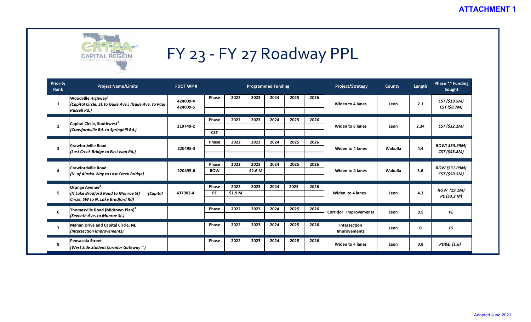

| Priority<br><b>Rank</b> | <b>Project Name/Limits</b>                                                                                      | <b>FDOT WP#</b> | <b>Programmed Funding</b> |         |         |      |      |      | Project/Strategy             | <b>County</b> | Length | Phase ** Funding<br>Sought                                                                                                                  |
|-------------------------|-----------------------------------------------------------------------------------------------------------------|-----------------|---------------------------|---------|---------|------|------|------|------------------------------|---------------|--------|---------------------------------------------------------------------------------------------------------------------------------------------|
|                         | Woodville Highway <sup>1</sup><br>(Capital Circle, SE to Gaile Ave.) (Gaile Ave. to Paul<br><b>Russell Rd.)</b> | 424009-4        | Phase                     | 2022    | 2023    | 2024 | 2025 | 2026 |                              |               |        | CST (\$19.5M)                                                                                                                               |
| 1                       |                                                                                                                 | 424009-5        |                           |         |         |      |      |      | Widen to 4 lanes             | Leon          | 2.1    | CST (\$8.7M)                                                                                                                                |
|                         |                                                                                                                 |                 | Phase                     | 2022    | 2023    | 2024 | 2025 | 2026 |                              |               |        |                                                                                                                                             |
| $\overline{2}$          | Capital Circle, Southwest <sup>2</sup><br>(Crawfordville Rd. to Springhill Rd.)                                 | 219749-2        | <b>CST</b>                |         |         |      |      |      | <b>Widen to 6 lanes</b>      | Leon          | 2.34   | CST (\$32.1M)<br>ROW(\$33.99M)<br>CST (\$43.8M)<br>ROW (\$31.09M)<br>CST (\$50.5M)<br>ROW (19.1M)<br>PE (\$3.2 M)<br>PE<br>FS<br>PD&E (1.6) |
|                         |                                                                                                                 |                 |                           |         |         |      |      |      |                              |               |        |                                                                                                                                             |
|                         | <b>Crawfordville Road</b>                                                                                       |                 | Phase                     | 2022    | 2023    | 2024 | 2025 | 2026 |                              |               | 4.4    |                                                                                                                                             |
| $\overline{\mathbf{3}}$ | (Lost Creek Bridge to East Ivan Rd.)                                                                            | 220495-3        |                           |         |         |      |      |      | <b>Widen to 4 lanes</b>      | Wakulla       |        |                                                                                                                                             |
|                         | <b>Crawfordville Road</b><br>(N. of Alaska Way to Lost Creek Bridge)                                            |                 | Phase                     | 2022    | 2023    | 2024 | 2025 | 2026 |                              |               |        |                                                                                                                                             |
| 4                       |                                                                                                                 | 220495-6        | <b>ROW</b>                |         | \$2.6 M |      |      |      | Widen to 4 lanes             | Wakulla       | 3.6    |                                                                                                                                             |
|                         |                                                                                                                 |                 |                           |         |         |      |      |      |                              |               |        |                                                                                                                                             |
|                         | Orange Avenue <sup>2</sup>                                                                                      |                 | Phase                     | 2022    | 2023    | 2024 | 2025 | 2026 |                              |               | 4.3    |                                                                                                                                             |
| 5                       | (N Lake Bradford Road to Monroe St)<br>(Capital<br>Circle, SW to N. Lake Bradford Rd)                           | 437902-4        | <b>PE</b>                 | \$1.9 M |         |      |      |      | Widen to 4 lanes             | Leon          |        |                                                                                                                                             |
|                         | Thomasville Road (Midtown Plan) <sup>3</sup>                                                                    |                 | Phase                     | 2022    | 2023    | 2024 | 2025 | 2026 |                              |               |        |                                                                                                                                             |
| 6                       | (Seventh Ave. to Monroe St.)                                                                                    |                 |                           |         |         |      |      |      | <b>Corridor Improvements</b> | Leon          | 0.5    |                                                                                                                                             |
|                         | <b>Mahan Drive and Capital Circle, NE</b>                                                                       |                 | Phase                     | 2022    | 2023    | 2024 | 2025 | 2026 | Intersection                 |               |        |                                                                                                                                             |
| $\overline{7}$          | (Intersection Improvements)                                                                                     |                 |                           |         |         |      |      |      | Improvements                 | Leon          | 0      |                                                                                                                                             |
| 8                       | Pensacola Street                                                                                                |                 | Phase                     | 2022    | 2023    | 2024 | 2025 | 2026 | <b>Widen to 4 lanes</b>      | Leon          | 0.8    |                                                                                                                                             |
|                         | (West Side Student Corridor Gateway $^{\scriptscriptstyle 1}$ )                                                 |                 |                           |         |         |      |      |      |                              |               |        |                                                                                                                                             |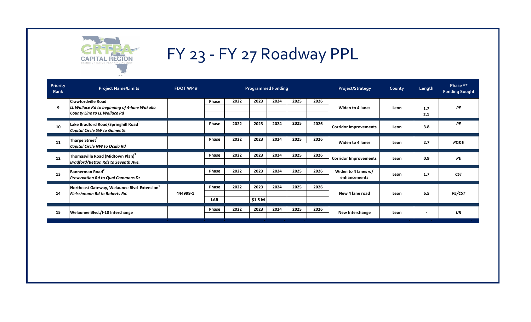

| Priority<br>Rank | <b>Project Name/Limits</b>                                                                                       | <b>FDOT WP#</b> | <b>Programmed Funding</b> |                                  |                                  |                           |      |      | <b>Project/Strategy</b>             | <b>County</b> | Length            | Phase **<br><b>Funding Sought</b> |
|------------------|------------------------------------------------------------------------------------------------------------------|-----------------|---------------------------|----------------------------------|----------------------------------|---------------------------|------|------|-------------------------------------|---------------|-------------------|-----------------------------------|
| 9                | <b>Crawfordville Road</b><br>LL Wallace Rd to beginning of 4-lane Wakulla<br><b>County Line to LL Wallace Rd</b> |                 | Phase                     | 2022                             | 2023                             | 2024                      | 2025 | 2026 | <b>Widen to 4 lanes</b>             | Leon          | 1.7<br>2.1        | PE                                |
| 10               | Lake Bradford Road/Springhill Road <sup>1</sup><br><b>Capital Circle SW to Gaines St</b>                         |                 | Phase                     | 2022                             | 2023                             | 2024                      | 2025 | 2026 | <b>Corridor Improvements</b>        | Leon          | 3.8               | PE                                |
| 11               | Tharpe Street <sup>2</sup><br>Capital Circle NW to Ocala Rd                                                      |                 | Phase                     | 2022                             | 2023                             | 2024                      | 2025 | 2026 | Widen to 4 lanes                    | Leon          | 2.7               | PD&E                              |
| 12               | Thomasville Road (Midtown Plan) <sup>3</sup><br><b>Bradford/Betton Rds to Seventh Ave.</b>                       |                 | Phase                     | 2022                             | 2023                             | 2024                      | 2025 | 2026 | <b>Corridor Improvements</b>        | Leon          | 0.9               | PE                                |
| 13               | Bannerman Road <sup>2</sup><br><b>Preservation Rd to Qual Commons Dr</b>                                         |                 | Phase                     | 2022                             | 2023                             | 2024                      | 2025 | 2026 | Widen to 4 lanes w/<br>enhancements | Leon          | 1.7               | <b>CST</b>                        |
| 14               | Northeast Gateway, Welaunee Blvd Extension <sup>1</sup><br><b>Fleischmann Rd to Roberts Rd.</b>                  | 444999-1        | Phase<br><b>LAR</b>       | 2022                             | 2023<br>\$1.5 M                  | 2024                      | 2025 | 2026 | New 4 lane road                     | Leon          | 6.5               | PE/CST                            |
| 15               | Welaunee Blvd./I-10 Interchange                                                                                  |                 | Phase                     | 2022<br><b>Contract Contract</b> | 2023<br><b>Contract Contract</b> | 2024<br><b>STATISTICS</b> | 2025 | 2026 | <b>New Interchange</b>              | Leon          | ٠<br><b>COLLA</b> | J/R                               |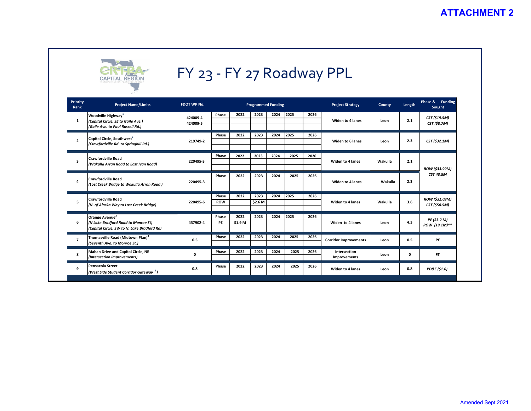

| Priority<br>Rank        | <b>Project Name/Limits</b>                                                                               | FDOT WP No. | <b>Programmed Funding</b> |         |                 |      |      |      | <b>Project Strategy</b>      | County  | Length | Phase & Funding<br>Sought                                                                                     |  |
|-------------------------|----------------------------------------------------------------------------------------------------------|-------------|---------------------------|---------|-----------------|------|------|------|------------------------------|---------|--------|---------------------------------------------------------------------------------------------------------------|--|
|                         | Woodville Highway <sup>1</sup><br>(Capital Circle, SE to Gaile Ave.)<br>(Gaile Ave. to Paul Russell Rd.) | 424009-4    | Phase                     | 2022    | 2023            | 2024 | 2025 | 2026 |                              |         |        | CST (\$19.5M)<br><b>CST (\$8.7M)</b><br>CST (\$32.1M)<br>ROW (\$33.99M)<br><b>CST 43.8M</b><br>ROW (\$31.09M) |  |
| 1                       |                                                                                                          | 424009-5    |                           |         |                 |      |      |      | Widen to 4 lanes             | Leon    | 2.1    |                                                                                                               |  |
|                         | Capital Circle, Southwest <sup>2</sup><br>(Crawfordville Rd. to Springhill Rd.)                          |             | Phase                     | 2022    | 2023            | 2024 | 2025 | 2026 | Widen to 6 lanes             |         | 2.3    |                                                                                                               |  |
| $\overline{2}$          |                                                                                                          | 219749-2    |                           |         |                 |      |      |      |                              | Leon    |        |                                                                                                               |  |
|                         | <b>Crawfordville Road</b><br>(Wakulla Arran Road to East Ivan Road)                                      |             | Phase                     | 2022    | 2023            | 2024 | 2025 | 2026 |                              |         |        |                                                                                                               |  |
| $\overline{\mathbf{3}}$ |                                                                                                          | 220495-3    |                           |         |                 |      |      |      | <b>Widen to 4 lanes</b>      | Wakulla | 2.1    |                                                                                                               |  |
|                         | <b>Crawfordville Road</b><br>(Lost Creek Bridge to Wakulla Arran Road)                                   |             | Phase                     | 2022    | 2023            | 2024 | 2025 | 2026 | <b>Widen to 4 lanes</b>      |         |        |                                                                                                               |  |
| 4                       |                                                                                                          | 220495-3    |                           |         |                 |      |      |      |                              | Wakulla | 2.3    |                                                                                                               |  |
|                         |                                                                                                          |             |                           | 2022    |                 |      | 2025 |      |                              |         |        |                                                                                                               |  |
| 5                       | <b>Crawfordville Road</b><br>(N. of Alaska Way to Lost Creek Bridge)                                     | 220495-6    | Phase<br><b>ROW</b>       |         | 2023<br>\$2.6 M | 2024 |      | 2026 | Widen to 4 lanes             | Wakulla | 3.6    | CST (\$50.5M)                                                                                                 |  |
|                         |                                                                                                          |             |                           |         |                 |      |      |      |                              |         |        |                                                                                                               |  |
|                         | Orange Avenue <sup>2</sup>                                                                               | 437902-4    | Phase                     | 2022    | 2023            | 2024 | 2025 | 2026 | Widen to 4 lanes             | Leon    |        | PE (\$3.2 M)<br>ROW (19.1M)**                                                                                 |  |
| 6                       | (N Lake Bradford Road to Monroe St)<br>(Capital Circle, SW to N. Lake Bradford Rd)                       |             | PE                        | \$1.9 M |                 |      |      |      |                              |         | 4.3    |                                                                                                               |  |
|                         | Thomasville Road (Midtown Plan) <sup>3</sup><br>(Seventh Ave. to Monroe St.)                             |             | Phase                     | 2022    | 2023            | 2024 | 2025 | 2026 | <b>Corridor Improvements</b> | Leon    | 0.5    |                                                                                                               |  |
| $\overline{7}$          |                                                                                                          | 0.5         |                           |         |                 |      |      |      |                              |         |        | PE                                                                                                            |  |
| 8                       | Mahan Drive and Capital Circle, NE<br>(Intersection Improvements)                                        | 0           | Phase                     | 2022    | 2023            | 2024 | 2025 | 2026 | Intersection<br>Improvements | Leon    | 0      | FS                                                                                                            |  |
|                         |                                                                                                          |             |                           |         |                 |      |      |      |                              |         |        |                                                                                                               |  |
| 9                       | <b>Pensacola Street</b>                                                                                  | 0.8         | Phase                     | 2022    | 2023            | 2024 | 2025 | 2026 | <b>Widen to 4 lanes</b>      | Leon    | 0.8    | PD&E (\$1.6)                                                                                                  |  |
|                         | (West Side Student Corridor Gateway <sup>1</sup> )                                                       |             |                           |         |                 |      |      |      |                              |         |        |                                                                                                               |  |